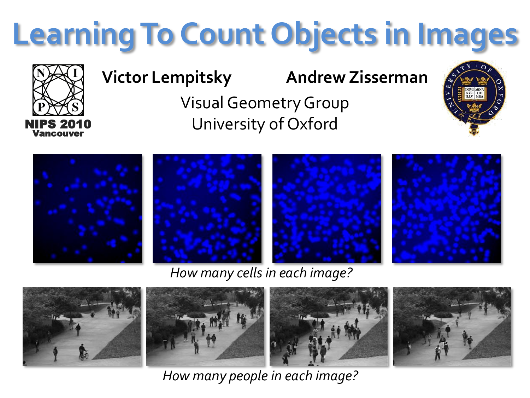## **Learning To Count Objects in Images**



## **Victor Lempitsky Andrew Zisserman**

Visual Geometry Group University of Oxford





*How many cells in each image?*



*How many people in each image?*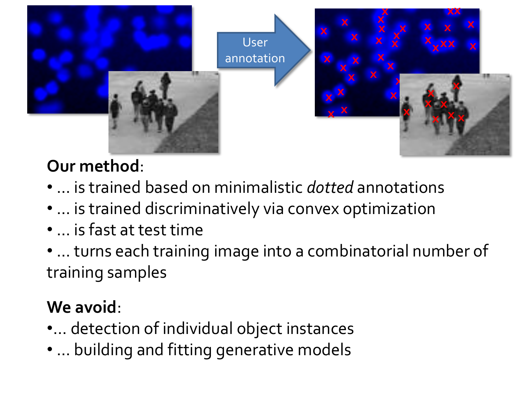

## Our method:

- ... is trained based on minimalistic *dotted* annotations
- ... is trained discriminatively via convex optimization
- ... is fast at test time
- ... turns each training image into a combinatorial number of training samples

## We avoid:

- ... detection of individual object instances
- ... building and fitting generative models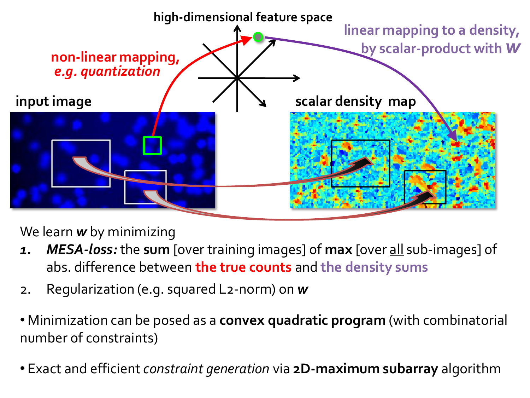

We learn *w* by minimizing

- *1. MESA-loss:* the **sum** [over training images] of **max** [over all sub-images] of abs. difference between **the true counts** and **the density sums**
- 2. Regularization (e.g. squared L2-norm) on *w*
- Minimization can be posed as a **convex quadratic program** (with combinatorial number of constraints)
- Exact and efficient *constraint generation* via **2D-maximum subarray** algorithm